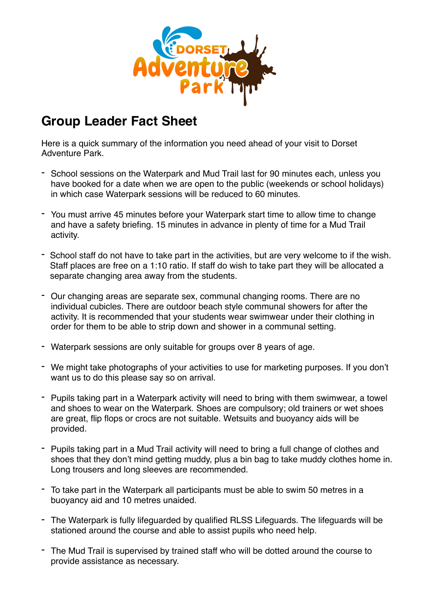

## **Group Leader Fact Sheet**

Here is a quick summary of the information you need ahead of your visit to Dorset Adventure Park.

- School sessions on the Waterpark and Mud Trail last for 90 minutes each, unless you have booked for a date when we are open to the public (weekends or school holidays) in which case Waterpark sessions will be reduced to 60 minutes.
- You must arrive 45 minutes before your Waterpark start time to allow time to change and have a safety briefing. 15 minutes in advance in plenty of time for a Mud Trail activity.
- School staff do not have to take part in the activities, but are very welcome to if the wish. Staff places are free on a 1:10 ratio. If staff do wish to take part they will be allocated a separate changing area away from the students.
- Our changing areas are separate sex, communal changing rooms. There are no individual cubicles. There are outdoor beach style communal showers for after the activity. It is recommended that your students wear swimwear under their clothing in order for them to be able to strip down and shower in a communal setting.
- Waterpark sessions are only suitable for groups over 8 years of age.
- We might take photographs of your activities to use for marketing purposes. If you don't want us to do this please say so on arrival.
- Pupils taking part in a Waterpark activity will need to bring with them swimwear, a towel and shoes to wear on the Waterpark. Shoes are compulsory; old trainers or wet shoes are great, flip flops or crocs are not suitable. Wetsuits and buoyancy aids will be provided.
- Pupils taking part in a Mud Trail activity will need to bring a full change of clothes and shoes that they don't mind getting muddy, plus a bin bag to take muddy clothes home in. Long trousers and long sleeves are recommended.
- To take part in the Waterpark all participants must be able to swim 50 metres in a buoyancy aid and 10 metres unaided.
- The Waterpark is fully lifeguarded by qualified RLSS Lifeguards. The lifeguards will be stationed around the course and able to assist pupils who need help.
- The Mud Trail is supervised by trained staff who will be dotted around the course to provide assistance as necessary.